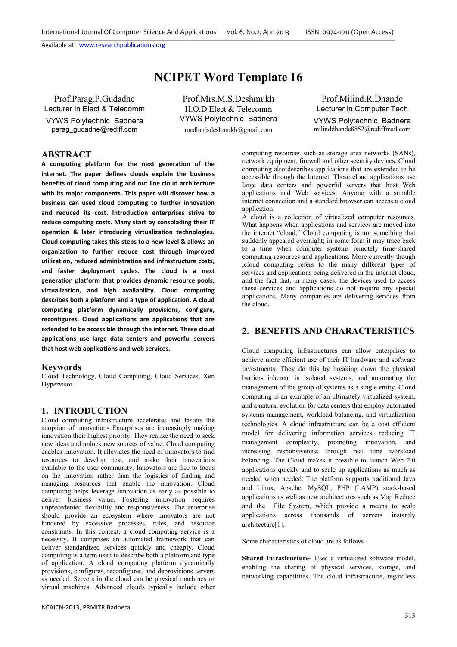# **NCIPET Word Template 16**

Prof.Parag.P.Gudadhe Lecturer in Elect & Telecomm VYWS Polytechnic Badnera parag\_gudadhe@rediff.com

Prof.Mrs.M.S.Deshmukh H.O.D Elect & Telecomm VYWS Polytechnic Badnera madhurisdeshmukh@gmail.com

Prof.Milind.R.Dhande Lecturer in Computer Tech VYWS Polytechnic Badnera milinddhande8852@rediffmail.com

# **ABSTRACT**

**A computing platform for the next generation of the internet. The paper defines clouds explain the business benefits of cloud computing and out line cloud architecture with its major components. This paper will discover how a business can used cloud computing to further innovation and reduced its cost. Introduction enterprises strive to reduce computing costs. Many start by consolading their IT operation & later introducing virtualization technologies. Cloud computing takes this steps to a new level & allows an organization to further reduce cost through improved utilization, reduced administration and infrastructure costs, and faster deployment cycles. The cloud is a next generation platform that provides dynamic resource pools, virtualization, and high availability. Cloud computing describes both a platform and a type of application. A cloud computing platform dynamically provisions, configure, reconfigures. Cloud applications are applications that are extended to be accessible through the internet. These cloud applications use large data centers and powerful servers that host web applications and web services.** 

#### **Keywords**

Cloud Technology, Cloud Computing, Cloud Services, Xen Hypervisor.

#### **1. INTRODUCTION**

Cloud computing infrastructure accelerates and fasters the adoption of innovations Enterprises are increasingly making innovation their highest priority. They realize the need to seek new ideas and unlock new sources of value. Cloud computing enables innovation. It alleviates the need of innovators to find resources to develop, test, and make their innovations available to the user community. Innovators are free to focus on the innovation rather than the logistics of finding and managing resources that enable the innovation. Cloud computing helps leverage innovation as early as possible to deliver business value. Fostering innovation requires unprecedented flexibility and responsiveness. The enterprise should provide an ecosystem where innovators are not hindered by excessive processes, rules, and resource constraints. In this context, a cloud computing service is a necessity. It comprises an automated framework that can deliver standardized services quickly and cheaply. Cloud computing is a term used to describe both a platform and type of application. A cloud computing platform dynamically provisions, configures, reconfigures, and deprovisions servers as needed. Servers in the cloud can be physical machines or virtual machines. Advanced clouds typically include other

computing resources such as storage area networks (SANs), network equipment, firewall and other security devices. Cloud computing also describes applications that are extended to be accessible through the Internet. These cloud applications use large data centers and powerful servers that host Web applications and Web services. Anyone with a suitable internet connection and a standard browser can access a cloud application.

A cloud is a collection of virtualized computer resources. What happens when applications and services are moved into the internet "cloud." Cloud computing is not something that suddenly appeared overnight; in some form it may trace back to a time when computer systems remotely time-shared computing resources and applications. More currently though ,cloud computing refers to the many different types of services and applications being delivered in the internet cloud, and the fact that, in many cases, the devices used to access these services and applications do not require any special applications. Many companies are delivering services from the cloud.

# **2. BENEFITS AND CHARACTERISTICS**

Cloud computing infrastructures can allow enterprises to achieve more efficient use of their IT hardware and software investments. They do this by breaking down the physical barriers inherent in isolated systems, and automating the management of the group of systems as a single entity. Cloud computing is an example of an ultimately virtualized system, and a natural evolution for data centers that employ automated systems management, workload balancing, and virtualization technologies. A cloud infrastructure can be a cost efficient model for delivering information services, reducing IT management complexity, promoting innovation, and increasing responsiveness through real time workload balancing. The Cloud makes it possible to launch Web 2.0 applications quickly and to scale up applications as much as needed when needed. The platform supports traditional Java and Linux, Apache, MySQL, PHP (LAMP) stack-based applications as well as new architectures such as Map Reduce and the File System, which provide a means to scale applications across thousands of servers instantly architecture[1].

Some characteristics of cloud are as follows -

**Shared Infrastructure-** Uses a virtualized software model, enabling the sharing of physical services, storage, and networking capabilities. The cloud infrastructure, regardless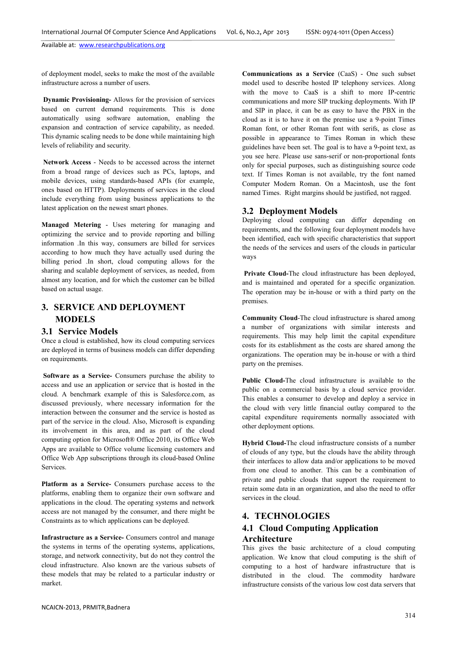of deployment model, seeks to make the most of the available infrastructure across a number of users.

**Dynamic Provisioning-** Allows for the provision of services based on current demand requirements. This is done automatically using software automation, enabling the expansion and contraction of service capability, as needed. This dynamic scaling needs to be done while maintaining high levels of reliability and security.

**Network Access** - Needs to be accessed across the internet from a broad range of devices such as PCs, laptops, and mobile devices, using standards-based APIs (for example, ones based on HTTP). Deployments of services in the cloud include everything from using business applications to the latest application on the newest smart phones.

**Managed Metering** - Uses metering for managing and optimizing the service and to provide reporting and billing information .In this way, consumers are billed for services according to how much they have actually used during the billing period .In short, cloud computing allows for the sharing and scalable deployment of services, as needed, from almost any location, and for which the customer can be billed based on actual usage.

# **3. SERVICE AND DEPLOYMENT MODELS**

#### **3.1 Service Models**

Once a cloud is established, how its cloud computing services are deployed in terms of business models can differ depending on requirements.

**Software as a Service-** Consumers purchase the ability to access and use an application or service that is hosted in the cloud. A benchmark example of this is Salesforce.com, as discussed previously, where necessary information for the interaction between the consumer and the service is hosted as part of the service in the cloud. Also, Microsoft is expanding its involvement in this area, and as part of the cloud computing option for Microsoft® Office 2010, its Office Web Apps are available to Office volume licensing customers and Office Web App subscriptions through its cloud-based Online Services.

**Platform as a Service-** Consumers purchase access to the platforms, enabling them to organize their own software and applications in the cloud. The operating systems and network access are not managed by the consumer, and there might be Constraints as to which applications can be deployed.

**Infrastructure as a Service-** Consumers control and manage the systems in terms of the operating systems, applications, storage, and network connectivity, but do not they control the cloud infrastructure. Also known are the various subsets of these models that may be related to a particular industry or market.

**Communications as a Service** (CaaS) - One such subset model used to describe hosted IP telephony services. Along with the move to CaaS is a shift to more IP-centric communications and more SIP trucking deployments. With IP and SIP in place, it can be as easy to have the PBX in the cloud as it is to have it on the premise use a 9-point Times Roman font, or other Roman font with serifs, as close as possible in appearance to Times Roman in which these guidelines have been set. The goal is to have a 9-point text, as you see here. Please use sans-serif or non-proportional fonts only for special purposes, such as distinguishing source code text. If Times Roman is not available, try the font named Computer Modern Roman. On a Macintosh, use the font named Times. Right margins should be justified, not ragged.

#### **3.2 Deployment Models**

Deploying cloud computing can differ depending on requirements, and the following four deployment models have been identified, each with specific characteristics that support the needs of the services and users of the clouds in particular ways

**Private Cloud-**The cloud infrastructure has been deployed, and is maintained and operated for a specific organization. The operation may be in-house or with a third party on the premises.

**Community Cloud**-The cloud infrastructure is shared among a number of organizations with similar interests and requirements. This may help limit the capital expenditure costs for its establishment as the costs are shared among the organizations. The operation may be in-house or with a third party on the premises.

**Public Cloud-**The cloud infrastructure is available to the public on a commercial basis by a cloud service provider. This enables a consumer to develop and deploy a service in the cloud with very little financial outlay compared to the capital expenditure requirements normally associated with other deployment options.

**Hybrid Cloud-**The cloud infrastructure consists of a number of clouds of any type, but the clouds have the ability through their interfaces to allow data and/or applications to be moved from one cloud to another. This can be a combination of private and public clouds that support the requirement to retain some data in an organization, and also the need to offer services in the cloud.

#### **4. TECHNOLOGIES**

### **4.1 Cloud Computing Application Architecture**

This gives the basic architecture of a cloud computing application. We know that cloud computing is the shift of computing to a host of hardware infrastructure that is distributed in the cloud. The commodity hardware infrastructure consists of the various low cost data servers that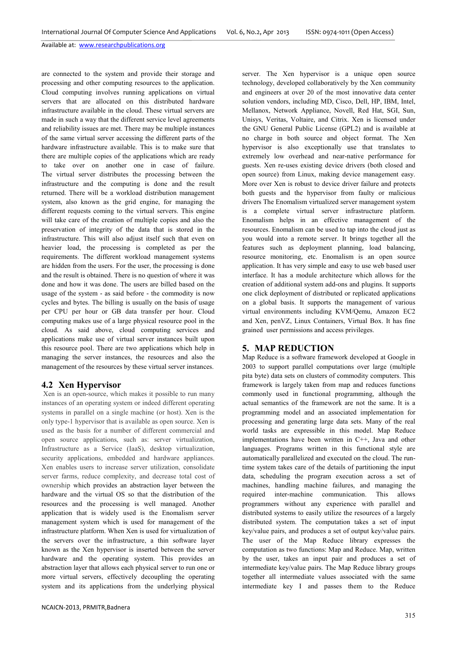are connected to the system and provide their storage and processing and other computing resources to the application. Cloud computing involves running applications on virtual servers that are allocated on this distributed hardware infrastructure available in the cloud. These virtual servers are made in such a way that the different service level agreements and reliability issues are met. There may be multiple instances of the same virtual server accessing the different parts of the hardware infrastructure available. This is to make sure that there are multiple copies of the applications which are ready to take over on another one in case of failure. The virtual server distributes the processing between the infrastructure and the computing is done and the result returned. There will be a workload distribution management system, also known as the grid engine, for managing the different requests coming to the virtual servers. This engine will take care of the creation of multiple copies and also the preservation of integrity of the data that is stored in the infrastructure. This will also adjust itself such that even on heavier load, the processing is completed as per the requirements. The different workload management systems are hidden from the users. For the user, the processing is done and the result is obtained. There is no question of where it was done and how it was done. The users are billed based on the usage of the system - as said before - the commodity is now cycles and bytes. The billing is usually on the basis of usage per CPU per hour or GB data transfer per hour. Cloud computing makes use of a large physical resource pool in the cloud. As said above, cloud computing services and applications make use of virtual server instances built upon this resource pool. There are two applications which help in managing the server instances, the resources and also the management of the resources by these virtual server instances.

#### **4.2 Xen Hypervisor**

 Xen is an open-source, which makes it possible to run many instances of an operating system or indeed different operating systems in parallel on a single machine (or host). Xen is the only type-1 hypervisor that is available as open source. Xen is used as the basis for a number of different commercial and open source applications, such as: server virtualization, Infrastructure as a Service (IaaS), desktop virtualization, security applications, embedded and hardware appliances. Xen enables users to increase server utilization, consolidate server farms, reduce complexity, and decrease total cost of ownership which provides an abstraction layer between the hardware and the virtual OS so that the distribution of the resources and the processing is well managed. Another application that is widely used is the Enomalism server management system which is used for management of the infrastructure platform. When Xen is used for virtualization of the servers over the infrastructure, a thin software layer known as the Xen hypervisor is inserted between the server hardware and the operating system. This provides an abstraction layer that allows each physical server to run one or more virtual servers, effectively decoupling the operating system and its applications from the underlying physical

server. The Xen hypervisor is a unique open source technology, developed collaboratively by the Xen community and engineers at over 20 of the most innovative data center solution vendors, including MD, Cisco, Dell, HP, IBM, Intel, Mellanox, Network Appliance, Novell, Red Hat, SGI, Sun, Unisys, Veritas, Voltaire, and Citrix. Xen is licensed under the GNU General Public License (GPL2) and is available at no charge in both source and object format. The Xen hypervisor is also exceptionally use that translates to extremely low overhead and near-native performance for guests. Xen re-uses existing device drivers (both closed and open source) from Linux, making device management easy. More over Xen is robust to device driver failure and protects both guests and the hypervisor from faulty or malicious drivers The Enomalism virtualized server management system is a complete virtual server infrastructure platform. Enomalism helps in an effective management of the resources. Enomalism can be used to tap into the cloud just as you would into a remote server. It brings together all the features such as deployment planning, load balancing, resource monitoring, etc. Enomalism is an open source application. It has very simple and easy to use web based user interface. It has a module architecture which allows for the creation of additional system add-ons and plugins. It supports one click deployment of distributed or replicated applications on a global basis. It supports the management of various virtual environments including KVM/Qemu, Amazon EC2 and Xen, penVZ, Linux Containers, Virtual Box. It has fine grained user permissions and access privileges.

#### **5. MAP REDUCTION**

Map Reduce is a software framework developed at Google in 2003 to support parallel computations over large (multiple pita byte) data sets on clusters of commodity computers. This framework is largely taken from map and reduces functions commonly used in functional programming, although the actual semantics of the framework are not the same. It is a programming model and an associated implementation for processing and generating large data sets. Many of the real world tasks are expressible in this model. Map Reduce implementations have been written in C++, Java and other languages. Programs written in this functional style are automatically parallelized and executed on the cloud. The runtime system takes care of the details of partitioning the input data, scheduling the program execution across a set of machines, handling machine failures, and managing the required inter-machine communication. This allows programmers without any experience with parallel and distributed systems to easily utilize the resources of a largely distributed system. The computation takes a set of input key/value pairs, and produces a set of output key/value pairs. The user of the Map Reduce library expresses the computation as two functions: Map and Reduce. Map, written by the user, takes an input pair and produces a set of intermediate key/value pairs. The Map Reduce library groups together all intermediate values associated with the same intermediate key I and passes them to the Reduce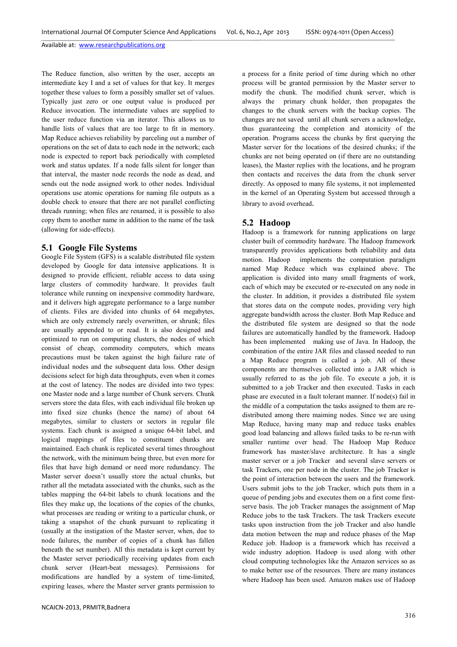The Reduce function, also written by the user, accepts an intermediate key I and a set of values for that key. It merges together these values to form a possibly smaller set of values. Typically just zero or one output value is produced per Reduce invocation. The intermediate values are supplied to the user reduce function via an iterator. This allows us to handle lists of values that are too large to fit in memory. Map Reduce achieves reliability by parceling out a number of operations on the set of data to each node in the network; each node is expected to report back periodically with completed work and status updates. If a node falls silent for longer than that interval, the master node records the node as dead, and sends out the node assigned work to other nodes. Individual operations use atomic operations for naming file outputs as a double check to ensure that there are not parallel conflicting threads running; when files are renamed, it is possible to also copy them to another name in addition to the name of the task (allowing for side-effects).

#### **5.1 Google File Systems**

Google File System (GFS) is a scalable distributed file system developed by Google for data intensive applications. It is designed to provide efficient, reliable access to data using large clusters of commodity hardware. It provides fault tolerance while running on inexpensive commodity hardware, and it delivers high aggregate performance to a large number of clients. Files are divided into chunks of 64 megabytes, which are only extremely rarely overwritten, or shrunk; files are usually appended to or read. It is also designed and optimized to run on computing clusters, the nodes of which consist of cheap, commodity computers, which means precautions must be taken against the high failure rate of individual nodes and the subsequent data loss. Other design decisions select for high data throughputs, even when it comes at the cost of latency. The nodes are divided into two types: one Master node and a large number of Chunk servers. Chunk servers store the data files, with each individual file broken up into fixed size chunks (hence the name) of about 64 megabytes, similar to clusters or sectors in regular file systems. Each chunk is assigned a unique 64-bit label, and logical mappings of files to constituent chunks are maintained. Each chunk is replicated several times throughout the network, with the minimum being three, but even more for files that have high demand or need more redundancy. The Master server doesn't usually store the actual chunks, but rather all the metadata associated with the chunks, such as the tables mapping the 64-bit labels to chunk locations and the files they make up, the locations of the copies of the chunks, what processes are reading or writing to a particular chunk, or taking a snapshot of the chunk pursuant to replicating it (usually at the instigation of the Master server, when, due to node failures, the number of copies of a chunk has fallen beneath the set number). All this metadata is kept current by the Master server periodically receiving updates from each chunk server (Heart-beat messages). Permissions for modifications are handled by a system of time-limited, expiring leases, where the Master server grants permission to a process for a finite period of time during which no other process will be granted permission by the Master server to modify the chunk. The modified chunk server, which is always the primary chunk holder, then propagates the changes to the chunk servers with the backup copies. The changes are not saved until all chunk servers a acknowledge, thus guaranteeing the completion and atomicity of the operation. Programs access the chunks by first querying the Master server for the locations of the desired chunks; if the chunks are not being operated on (if there are no outstanding leases), the Master replies with the locations, and he program then contacts and receives the data from the chunk server directly. As opposed to many file systems, it not implemented in the kernel of an Operating System but accessed through a library to avoid overhead.

#### **5.2 Hadoop**

Hadoop is a framework for running applications on large cluster built of commodity hardware. The Hadoop framework transparently provides applications both reliability and data motion. Hadoop implements the computation paradigm named Map Reduce which was explained above. The application is divided into many small fragments of work, each of which may be executed or re-executed on any node in the cluster. In addition, it provides a distributed file system that stores data on the compute nodes, providing very high aggregate bandwidth across the cluster. Both Map Reduce and the distributed file system are designed so that the node failures are automatically handled by the framework. Hadoop has been implemented making use of Java. In Hadoop, the combination of the entire JAR files and classed needed to run a Map Reduce program is called a job. All of these components are themselves collected into a JAR which is usually referred to as the job file. To execute a job, it is submitted to a job Tracker and then executed. Tasks in each phase are executed in a fault tolerant manner. If node(s) fail in the middle of a computation the tasks assigned to them are redistributed among there maiming nodes. Since we are using Map Reduce, having many map and reduce tasks enables good load balancing and allows failed tasks to be re-run with smaller runtime over head. The Hadoop Map Reduce framework has master/slave architecture. It has a single master server or a job Tracker and several slave servers or task Trackers, one per node in the cluster. The job Tracker is the point of interaction between the users and the framework. Users submit jobs to the job Tracker, which puts them in a queue of pending jobs and executes them on a first come firstserve basis. The job Tracker manages the assignment of Map Reduce jobs to the task Trackers. The task Trackers execute tasks upon instruction from the job Tracker and also handle data motion between the map and reduce phases of the Map Reduce job. Hadoop is a framework which has received a wide industry adoption. Hadoop is used along with other cloud computing technologies like the Amazon services so as to make better use of the resources. There are many instances where Hadoop has been used. Amazon makes use of Hadoop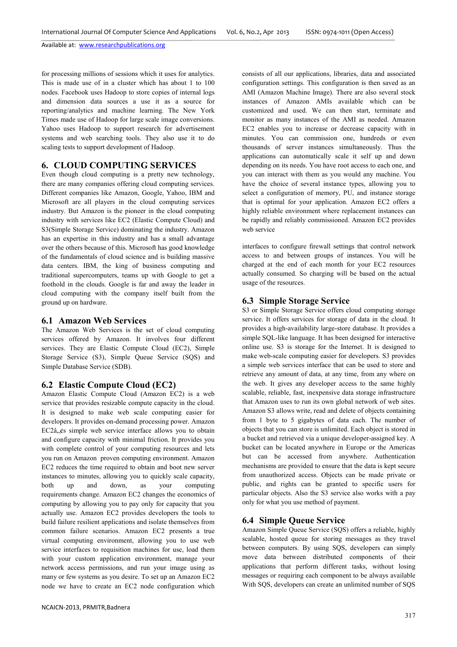for processing millions of sessions which it uses for analytics. This is made use of in a cluster which has about 1 to 100 nodes. Facebook uses Hadoop to store copies of internal logs and dimension data sources a use it as a source for reporting/analytics and machine learning. The New York Times made use of Hadoop for large scale image conversions. Yahoo uses Hadoop to support research for advertisement systems and web searching tools. They also use it to do scaling tests to support development of Hadoop.

## **6. CLOUD COMPUTING SERVICES**

Even though cloud computing is a pretty new technology, there are many companies offering cloud computing services. Different companies like Amazon, Google, Yahoo, IBM and Microsoft are all players in the cloud computing services industry. But Amazon is the pioneer in the cloud computing industry with services like EC2 (Elastic Compute Cloud) and S3(Simple Storage Service) dominating the industry. Amazon has an expertise in this industry and has a small advantage over the others because of this. Microsoft has good knowledge of the fundamentals of cloud science and is building massive data centers. IBM, the king of business computing and traditional supercomputers, teams up with Google to get a foothold in the clouds. Google is far and away the leader in cloud computing with the company itself built from the ground up on hardware.

#### **6.1 Amazon Web Services**

The Amazon Web Services is the set of cloud computing services offered by Amazon. It involves four different services. They are Elastic Compute Cloud (EC2), Simple Storage Service (S3), Simple Queue Service (SQS) and Simple Database Service (SDB).

#### **6.2 Elastic Compute Cloud (EC2)**

Amazon Elastic Compute Cloud (Amazon EC2) is a web service that provides resizable compute capacity in the cloud. It is designed to make web scale computing easier for developers. It provides on-demand processing power. Amazon  $EC2\hat{a}$   $\&$  simple web service interface allows you to obtain and configure capacity with minimal friction. It provides you with complete control of your computing resources and lets you run on Amazon proven computing environment. Amazon EC2 reduces the time required to obtain and boot new server instances to minutes, allowing you to quickly scale capacity, both up and down, as your computing requirements change. Amazon EC2 changes the economics of computing by allowing you to pay only for capacity that you actually use. Amazon EC2 provides developers the tools to build failure resilient applications and isolate themselves from common failure scenarios. Amazon EC2 presents a true virtual computing environment, allowing you to use web service interfaces to requisition machines for use, load them with your custom application environment, manage your network access permissions, and run your image using as many or few systems as you desire. To set up an Amazon EC2 node we have to create an EC2 node configuration which consists of all our applications, libraries, data and associated configuration settings. This configuration is then saved as an AMI (Amazon Machine Image). There are also several stock instances of Amazon AMIs available which can be customized and used. We can then start, terminate and monitor as many instances of the AMI as needed. Amazon EC2 enables you to increase or decrease capacity with in minutes. You can commission one, hundreds or even thousands of server instances simultaneously. Thus the applications can automatically scale it self up and down depending on its needs. You have root access to each one, and you can interact with them as you would any machine. You have the choice of several instance types, allowing you to select a configuration of memory, PU, and instance storage that is optimal for your application. Amazon EC2 offers a highly reliable environment where replacement instances can be rapidly and reliably commissioned. Amazon EC2 provides web service

interfaces to configure firewall settings that control network access to and between groups of instances. You will be charged at the end of each month for your EC2 resources actually consumed. So charging will be based on the actual usage of the resources.

#### **6.3 Simple Storage Service**

S3 or Simple Storage Service offers cloud computing storage service. It offers services for storage of data in the cloud. It provides a high-availability large-store database. It provides a simple SQL-like language. It has been designed for interactive online use. S3 is storage for the Internet. It is designed to make web-scale computing easier for developers. S3 provides a simple web services interface that can be used to store and retrieve any amount of data, at any time, from any where on the web. It gives any developer access to the same highly scalable, reliable, fast, inexpensive data storage infrastructure that Amazon uses to run its own global network of web sites. Amazon S3 allows write, read and delete of objects containing from 1 byte to 5 gigabytes of data each. The number of objects that you can store is unlimited. Each object is stored in a bucket and retrieved via a unique developer-assigned key. A bucket can be located anywhere in Europe or the Americas but can be accessed from anywhere. Authentication mechanisms are provided to ensure that the data is kept secure from unauthorized access. Objects can be made private or public, and rights can be granted to specific users for particular objects. Also the S3 service also works with a pay only for what you use method of payment.

#### **6.4 Simple Queue Service**

Amazon Simple Queue Service (SQS) offers a reliable, highly scalable, hosted queue for storing messages as they travel between computers. By using SQS, developers can simply move data between distributed components of their applications that perform different tasks, without losing messages or requiring each component to be always available With SQS, developers can create an unlimited number of SQS